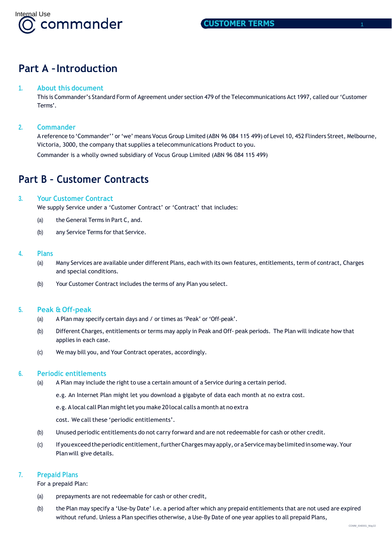

# <span id="page-0-0"></span>**Part A –Introduction**

# <span id="page-0-1"></span>**1. About this document**

This is Commander's Standard Form of Agreement under section 479 of the Telecommunications Act 1997, called our 'Customer Terms'.

# <span id="page-0-2"></span>**2. Commander**

A reference to 'Commander'' or'we' means Vocus Group Limited (ABN 96 084 115 499) of Level 10, 452 Flinders Street, Melbourne, Victoria, 3000, the company that supplies a telecommunications Product to you. Commander is a wholly owned subsidiary of Vocus Group Limited (ABN 96 084 115 499)

# <span id="page-0-3"></span>**Part B – Customer Contracts**

## <span id="page-0-4"></span>**3. Your Customer Contract**

We supply Service under a 'Customer Contract' or 'Contract' that includes:

- (a) the General Terms in Part C, and.
- (b) any Service Terms for that Service.

#### <span id="page-0-5"></span>**4. Plans**

- (a) Many Services are available under different Plans, each with its own features, entitlements, term of contract, Charges and special conditions.
- (b) Your Customer Contract includes the terms of any Plan you select.

## <span id="page-0-6"></span>**5. Peak & Off-peak**

- (a) A Plan may specify certain days and / or times as 'Peak' or 'Off-peak'.
- (b) Different Charges, entitlements or terms may apply in Peak and Off- peak periods. The Plan will indicate how that applies in each case.
- (c) We may bill you, and Your Contract operates, accordingly.

## <span id="page-0-7"></span>**6. Periodic entitlements**

- (a) A Plan may include the right to use a certain amount of a Service during a certain period.
	- e.g. An Internet Plan might let you download a gigabyte of data each month at no extra cost.
	- e.g. Alocal call Plan mightlet you make 20 local calls a month at no extra
	- cost. We call these 'periodic entitlements'.
- (b) Unused periodic entitlements do not carry forward and are not redeemable for cash or other credit.
- (c) Ifyouexceedtheperiodicentitlement,furtherChargesmayapply, oraServicemaybelimitedinsomeway.Your Planwill give details.

## <span id="page-0-8"></span>**7. Prepaid Plans**

For a prepaid Plan:

- (a) prepayments are not redeemable for cash or other credit,
- (b) the Plan may specify a 'Use-by Date' i.e. a period after which any prepaid entitlements that are not used are expired without refund. Unless a Plan specifies otherwise, a Use-By Date of one year applies to all prepaid Plans,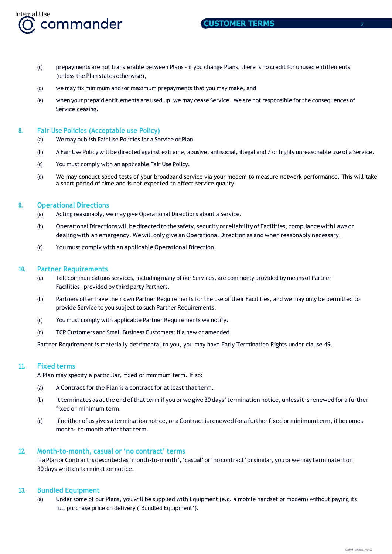

- (c) prepayments are not transferable between Plans if you change Plans, there is no credit for unused entitlements (unless the Plan states otherwise),
- (d) we may fix minimum and/or maximum prepayments that you may make, and
- (e) when your prepaid entitlements are used up, we may cease Service. We are not responsible forthe consequences of Service ceasing.

## <span id="page-1-0"></span>**8. Fair Use Policies (Acceptable use Policy)**

- (a) We may publish Fair Use Policies for a Service or Plan.
- (b) A Fair Use Policy will be directed against extreme, abusive, antisocial, illegal and / or highly unreasonable use of a Service.
- (c) You must comply with an applicable Fair Use Policy.
- (d) We may conduct speed tests of your broadband service via your modem to measure network performance. This will take a short period of time and is not expected to affect service quality.

# <span id="page-1-1"></span>**9. Operational Directions**

- (a) Acting reasonably, we may give Operational Directions about a Service.
- (b) OperationalDirectionswill bedirectedtothesafety, security orreliability of Facilities, compliancewith Lawsor dealingwith an emergency. We will only give an Operational Direction as and when reasonably necessary.
- (c) You must comply with an applicable Operational Direction.

## <span id="page-1-2"></span>**10. Partner Requirements**

- (a) Telecommunications services, including many of our Services, are commonly provided by means of Partner Facilities, provided by third party Partners.
- (b) Partners often have their own Partner Requirements for the use of their Facilities, and we may only be permitted to provide Service to you subject to such Partner Requirements.
- (c) You must comply with applicable Partner Requirements we notify.
- (d) TCP Customers and Small Business Customers: If a new or amended

Partner Requirement is materially detrimental to you, you may have Early Termination Rights under clause 49.

## <span id="page-1-3"></span>**11. Fixed terms**

A Plan may specify a particular, fixed or minimum term. If so:

- (a) A Contract for the Plan is a contract for at least that term.
- (b) Itterminates as at the end of that term if you or we give 30 days' termination notice, unless it is renewed for a further fixed or minimum term.
- (c) If neither of us gives a termination notice, or a Contract is renewed for a further fixed or minimum term, it becomes month- to-month after that term.

## <span id="page-1-4"></span>**12. Month-to-month, casual or 'no contract' terms**

If a Plan or Contract is described as 'month-to-month', 'casual' or 'no contract' or similar, you or we may terminate it on 30days written termination notice.

## <span id="page-1-5"></span>**13. Bundled Equipment**

(a) Under some of our Plans, you will be supplied with Equipment (e.g. a mobile handset or modem) without paying its full purchase price on delivery ('Bundled Equipment').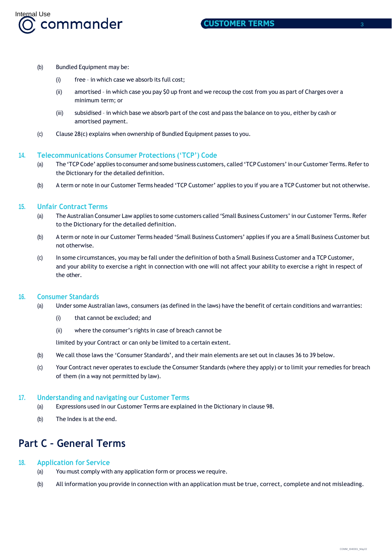

- (b) Bundled Equipment may be:
	- (i) free in which case we absorb its full cost;
	- (ii) amortised in which case you pay \$0 up front and we recoup the cost from you as part of Charges over a minimum term; or
	- (iii) subsidised in which base we absorb part of the cost and pass the balance on to you, either by cash or amortised payment.
- (c) Clause 28(c) explains when ownership of Bundled Equipment passes to you.

#### <span id="page-2-0"></span>**14. Telecommunications Consumer Protections ('TCP') Code**

- (a) The 'TCP Code' applies to consumer and some business customers, called 'TCP Customers' in our Customer Terms. Refer to the Dictionary for the detailed definition.
- (b) A term or note in our Customer Terms headed 'TCP Customer' applies to you if you are a TCP Customer but not otherwise.

#### <span id="page-2-1"></span>**15. Unfair Contract Terms**

- (a) The Australian Consumer Law applies to some customers called 'Small Business Customers' in our Customer Terms. Refer to the Dictionary for the detailed definition.
- (b) A term or note in our Customer Terms headed 'Small Business Customers' applies if you are a Small Business Customer but not otherwise.
- (c) In some circumstances, you may be fall under the definition of both a Small Business Customer and a TCP Customer, and your ability to exercise a right in connection with one will not affect your ability to exercise a right in respect of the other.

#### <span id="page-2-2"></span>**16. Consumer Standards**

- (a) Under some Australian laws, consumers (as defined in the laws) have the benefit of certain conditions and warranties:
	- (i) that cannot be excluded; and
	- (ii) where the consumer's rights in case of breach cannot be

limited by your Contract or can only be limited to a certain extent.

- (b) We call those laws the 'Consumer Standards', and their main elements are set out in clauses 36 to 39 below.
- (c) Your Contract never operates to exclude the Consumer Standards (where they apply) or to limit your remedies for breach of them (in a way not permitted by law).

#### <span id="page-2-3"></span>**17. Understanding and navigating our Customer Terms**

- (a) Expressions used in our Customer Terms are explained in the Dictionary in clause 98.
- (b) The Index is at the end.

# **Part C – General Terms**

#### <span id="page-2-4"></span>**18. Application for Service**

- (a) You must comply with any application form or process we require.
- (b) All information you provide in connection with an application must be true, correct, complete and not misleading.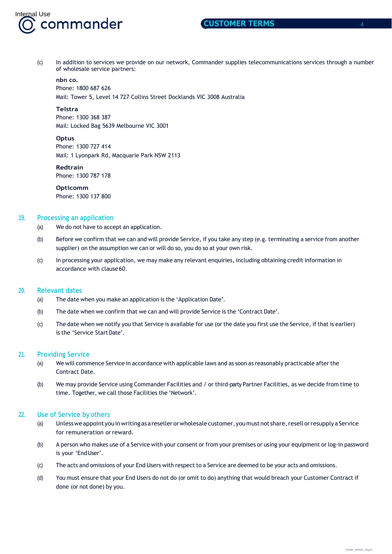

(c) In addition to services we provide on our network, Commander supplies telecommunications services through a number of wholesale service partners:

#### **nbn co.**

Phone: 1800 687 626 Mail: Tower 5, Level 14 727 Collins Street Docklands VIC 3008 Australia

#### **Telstra**

Phone: 1300 368 387 Mail: Locked Bag 5639 Melbourne VIC 3001

#### **Optus**

Phone: 1300 727 414 Mail: 1 Lyonpark Rd, Macquarie Park NSW 2113

#### **Redtrain**

Phone: 1300 787 178

#### **Opticomm**

Phone: 1300 137 800

#### <span id="page-3-0"></span>**19. Processing an application**

(a) We do not have to accept an application.

- (b) Before we confirm that we can and will provide Service, if you take any step (e.g. terminating a service from another supplier) on the assumption we can or will do so, you do so at your own risk.
- (c) In processing your application, we may make any relevant enquiries, including obtaining credit information in accordance with clause 60.

#### <span id="page-3-1"></span>**20. Relevant dates**

- (a) The date when you make an application is the 'Application Date'.
- (b) The date when we confirm that we can and will provide Service is the 'Contract Date'.
- (c) The date when we notify you that Service is available for use (orthe date you first use the Service, if that is earlier) is the 'Service StartDate'.

#### <span id="page-3-2"></span>**21. Providing Service**

- (a) We will commence Service in accordance with applicable laws and as soon as reasonably practicable after the Contract Date.
- (b) We may provide Service using Commander Facilities and / or third-party Partner Facilities, as we decide from time to time. Together, we call those Facilities the 'Network'.

# <span id="page-3-3"></span>**22. Use of Service by others**

- (a) Unlessweappointyouinwritingasaresellerorwholesalecustomer,youmustnot share,resell orresupply aService for remuneration orreward.
- (b) A person who makes use of a Service with your consent or from your premises or using your equipment or log-in password is your 'EndUser'.
- (c) The acts and omissions of your End Users with respect to a Service are deemed to be your acts and omissions.
- (d) You must ensure that your End Users do not do (or omit to do) anything that would breach your Customer Contract if done (or not done) by you.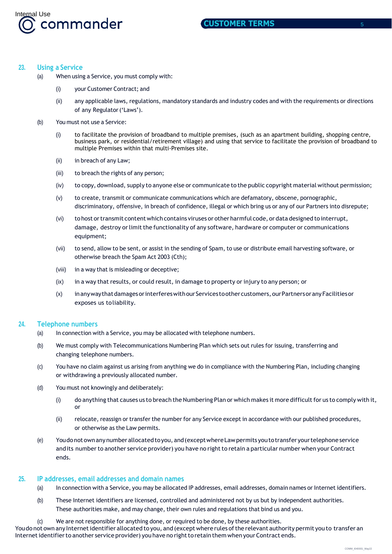

# <span id="page-4-0"></span>**23. Using a Service**

- (a) When using a Service, you must comply with:
	- (i) your Customer Contract; and
	- (ii) any applicable laws, regulations, mandatory standards and industry codes and with the requirements or directions of any Regulator('Laws').
- (b) You must not use a Service:
	- (i) to facilitate the provision of broadband to multiple premises, (such as an apartment building, shopping centre, business park, or residential/retirement village) and using that service to facilitate the provision of broadband to multiple Premises within that multi-Premises site.
	- (ii) in breach of any Law;
	- (iii) to breach the rights of any person;
	- (iv) to copy, download, supply to anyone else or communicate to the public copyright material without permission;
	- (v) to create, transmit or communicate communications which are defamatory, obscene, pornographic, discriminatory, offensive, in breach of confidence, illegal or which bring us or any of our Partners into disrepute;
	- (vi) to host ortransmit content which contains viruses or other harmful code, or data designed to interrupt, damage, destroy or limit the functionality of any software, hardware or computer or communications equipment;
	- (vii) to send, allow to be sent, or assist in the sending of Spam, to use or distribute email harvesting software, or otherwise breach the Spam Act 2003 (Cth);
	- (viii) in a way that is misleading or deceptive;
	- (ix) in a way that results, or could result, in damage to property or injury to any person; or
	- (x) inanywaythatdamagesorinterfereswithourServices toothercustomers, ourPartnersoranyFacilitiesor exposes us toliability.

#### <span id="page-4-1"></span>**24. Telephone numbers**

- (a) In connection with a Service, you may be allocated with telephone numbers.
- (b) We must comply with Telecommunications Numbering Plan which sets out rules for issuing, transferring and changing telephone numbers.
- (c) You have no claim against us arising from anything we do in compliance with the Numbering Plan, including changing or withdrawing a previously allocated number.
- (d) You must not knowingly and deliberately:
	- (i) do anything that causes us to breach the Numbering Plan or which makes it more difficult for us to comply with it, or
	- (ii) relocate, reassign or transfer the number for any Service except in accordance with our published procedures, or otherwise as the Law permits.
- (e) Youdonot ownanynumber allocatedtoyou, and(exceptwhereLawpermits youtotransferyourtelephone service and its number to another service provider) you have no right to retain a particular number when your Contract ends.

## <span id="page-4-2"></span>**25. IP addresses, email addresses and domain names**

- (a) In connection with a Service, you may be allocated IP addresses, email addresses, domain names or Internet identifiers.
- (b) These Internet identifiers are licensed, controlled and administered not by us but by independent authorities. These authorities make, and may change, their own rules and regulations that bind us and you.
- (c) We are not responsible for anything done, or required to be done, by these authorities.

You do not own any Internet identifier allocated to you, and (except where rules of the relevant authority permit you to transfer an Internet identifier to another service provider) you have no right to retain them when your Contract ends.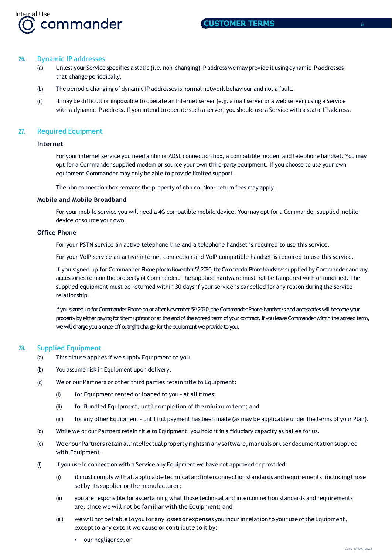

#### <span id="page-5-0"></span>**26. Dynamic IP addresses**

- (a) Unless your Service specifies a static (i.e. non-changing) IP address we may provide it using dynamic IP addresses that change periodically.
- (b) The periodic changing of dynamic IP addresses is normal network behaviour and not a fault.
- (c) It may be difficult or impossible to operate an Internet server (e.g. a mail server or a web server) using a Service with a dynamic IP address. If you intend to operate such a server, you should use a Service with a static IP address.

# **27. Required Equipment**

#### **Internet**

For your internet service you need a nbn or ADSL connection box, a compatible modem and telephone handset. You may opt for a Commander supplied modem or source your own third-party equipment. If you choose to use your own equipment Commander may only be able to provide limited support.

The nbn connection box remains the property of nbn co. Non- return fees may apply.

#### **Mobile and Mobile Broadband**

For your mobile service you will need a 4G compatible mobile device. You may opt for a Commander supplied mobile device or source your own.

#### **Office Phone**

For your PSTN service an active telephone line and a telephone handset is required to use this service.

For your VoIP service an active internet connection and VoIP compatible handset is required to use this service.

If you signed up for Commander Phoneprior to November 5<sup>th</sup> 2020, the Commander Phone handset/s supplied by Commander and any accessories remain the property of Commander. The supplied hardware must not be tampered with or modified. The supplied equipment must be returned within 30 days if your service is cancelled for any reason during the service relationship.

If you signed up for Commander Phone on or after November 5<sup>th</sup> 2020, the Commander Phone handset/s and accessories will become your property by either paying for them upfront or at the end of the agreed term of your contract. If you leave Commander within the agreed term, we will charge you a once-off outright charge for the equipment we provide to you.

## **28. Supplied Equipment**

- (a) This clause applies if we supply Equipment to you.
- (b) You assume risk in Equipment upon delivery.
- (c) We or our Partners or other third parties retain title to Equipment:
	- (i) for Equipment rented or loaned to you at all times;
	- (ii) for Bundled Equipment, until completion of the minimum term; and
	- (iii) for any other Equipment until full payment has been made (as may be applicable under the terms of your Plan).
- (d) While we or our Partners retain title to Equipment, you hold it in a fiduciary capacity as bailee for us.
- (e) Weor our Partners retain allintellectual property rights in any software, manuals or user documentation supplied with Equipment.
- (f) If you use in connection with a Service any Equipment we have not approved or provided:
	- (i) it must comply with all applicable technical and interconnection standards and requirements, including those set by its supplier or the manufacturer;
	- (ii) you are responsible for ascertaining what those technical and interconnection standards and requirements are, since we will not be familiar with the Equipment; and
	- (iii) wewill not be liable to you for any losses or expenses you incurin relation to your use ofthe Equipment, except to any extent we cause or contribute to it by:
		- our negligence, or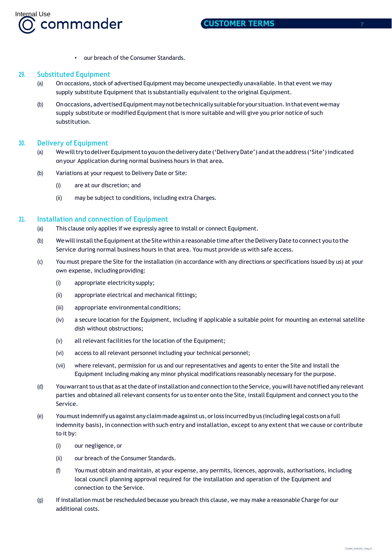

• our breach of the Consumer Standards.

# **29. Substituted Equipment**

- (a) On occasions, stock of advertised Equipment may become unexpectedly unavailable. In that event we may supply substitute Equipment that is substantially equivalent to the original Equipment.
- (b) On occasions, advertised Equipment may not be technically suitable for your situation. In that event we may supply substitute or modified Equipment that is more suitable and will give you prior notice of such substitution.

# **30. Delivery of Equipment**

- (a) Wewilltrytodeliver Equipmenttoyouonthedeliverydate('DeliveryDate') andattheaddress ('Site')indicated onyour Application during normal business hours in that area.
- (b) Variations at your request to Delivery Date or Site:
	- (i) are at our discretion; and
	- (ii) may be subject to conditions, including extra Charges.

# **31. Installation and connection of Equipment**

- (a) This clause only applies if we expressly agree to install or connect Equipment.
- (b) We will install the Equipment at the Site within a reasonable time after the Delivery Date to connect you to the Service during normal business hours in that area. You must provide us with safe access.
- (c) You must prepare the Site for the installation (in accordance with any directions or specifications issued by us) at your own expense, including providing:
	- (i) appropriate electricity supply;
	- (ii) appropriate electrical and mechanical fittings;
	- (iii) appropriate environmental conditions;
	- (iv) a secure location for the Equipment, including if applicable a suitable point for mounting an external satellite dish without obstructions;
	- (v) all relevant facilities for the location of the Equipment;
	- (vi) access to all relevant personnel including your technical personnel;
	- (vii) where relevant, permission for us and our representatives and agents to enter the Site and install the Equipment including making any minor physical modifications reasonably necessary for the purpose.
- (d) Youwarrantto us that as atthe date ofinstallation and connectiontothe Service, youwill have notified any relevant parties and obtained all relevant consents for us to enter onto the Site, install Equipment and connect you to the Service.
- (e) Youmustindemnifyusagainstany claimmadeagainst us,orloss incurredbyus (includinglegalcostsonafull indemnity basis), in connection with such entry and installation, except to any extent that we cause or contribute to it by:
	- (i) our negligence, or
	- (ii) our breach of the Consumer Standards.
	- (f) You must obtain and maintain, at your expense, any permits, licences, approvals, authorisations, including local council planning approval required for the installation and operation of the Equipment and connection to the Service.
- (g) If installation must be rescheduled because you breach this clause, we may make a reasonable Charge for our additional costs.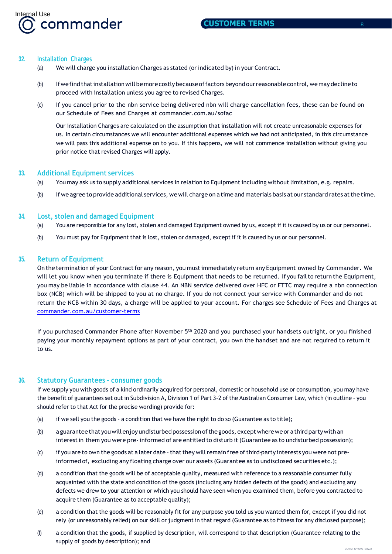

#### **32. Installation Charges**

- (a) We will charge you installation Charges as stated (or indicated by) in your Contract.
- (b) Ifwefindthatinstallationwillbemorecostlybecause offactorsbeyondourreasonable control,wemay declineto proceed with installation unless you agree to revised Charges.
- (c) If you cancel prior to the nbn service being delivered nbn will charge cancellation fees, these can be found on our Schedule of Fees and Charges at [commander.com.au/sofac](http://www.commander.com.au/sofac)

Our installation Charges are calculated on the assumption that installation will not create unreasonable expenses for us. In certain circumstances we will encounter additional expenses which we had not anticipated, in this circumstance we will pass this additional expense on to you. If this happens, we will not commence installation without giving you prior notice that revised Charges will apply.

## **33. Additional Equipment services**

- (a) You may ask us to supply additional services in relation to Equipment including without limitation, e.g. repairs.
- (b) If we agree to provide additional services, we will charge on a time and materials basis at our standard rates atthe time.

# **34. Lost, stolen and damaged Equipment**

- (a) You are responsible for any lost, stolen and damaged Equipment owned by us, except if it is caused by us or our personnel.
- (b) You must pay for Equipment that is lost, stolen or damaged, except if it is caused by us or our personnel.

# **35. Return of Equipment**

On the termination of your Contract for any reason, you must immediately return any Equipment owned by Commander. We will let you know when you terminate if there is Equipment that needs to be returned. If you fail to return the Equipment, you may be liable in accordance with clause 44. An NBN service delivered over HFC or FTTC may require a nbn connection box (NCB) which will be shipped to you at no charge. If you do not connect your service with Commander and do not return the NCB within 30 days, a charge will be applied to your account. For charges see Schedule of Fees and Charges at [commander.com.au/customer-terms](http://www.commander.com.au/customer-terms)

If you purchased Commander Phone after November 5th 2020 and you purchased your handsets outright, or you finished paying your monthly repayment options as part of your contract, you own the handset and are not required to return it to us.

# **36. Statutory Guarantees – consumer goods**

If we supply you with goods of a kind ordinarily acquired for personal, domestic or household use or consumption, you may have the benefit of guarantees set out in Subdivision A, Division 1 of Part 3-2 of the Australian Consumer Law, which (in outline – you should refer to that Act for the precise wording) provide for:

- (a) if we sell you the goods a condition that we have the right to do so (Guarantee as to title);
- (b) a guarantee that you will enjoy undisturbed possession of the goods, except where we or a third party with an interestin them you were pre- informed of are entitled to disturb it (Guarantee as to undisturbed possession);
- $\chi$  if you are to own the goods at a later date that they will remain free of third-party interests you were not preinformed of, excluding any floating charge over our assets (Guarantee as to undisclosed securities etc.);
- (d) a condition that the goods will be of acceptable quality, measured with reference to a reasonable consumer fully acquainted with the state and condition of the goods (including any hidden defects of the goods) and excluding any defects we drew to your attention or which you should have seen when you examined them, before you contracted to acquire them (Guarantee as to acceptable quality);
- (e) a condition that the goods will be reasonably fit for any purpose you told us you wanted them for, except if you did not rely (or unreasonably relied) on our skill or judgment in that regard (Guarantee as to fitness for any disclosed purpose);
- (f) a condition that the goods, if supplied by description, will correspond to that description (Guarantee relating to the supply of goods by description); and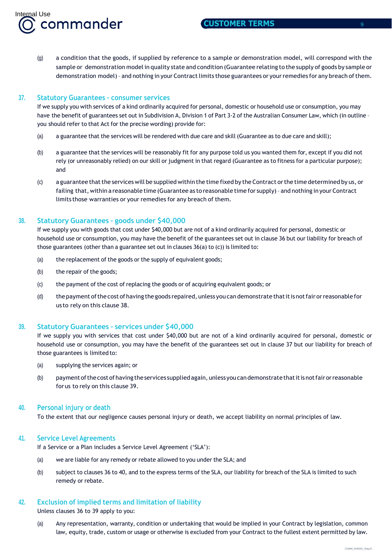(g) a condition that the goods, if supplied by reference to a sample or demonstration model, will correspond with the sample or demonstration model in quality state and condition (Guarantee relating to the supply of goods by sample or demonstration model) - and nothing in your Contract limits those guarantees or your remedies for any breach of them.

# **37. Statutory Guarantees – consumer services**

If we supply you with services of a kind ordinarily acquired for personal, domestic or household use or consumption, you may have the benefit of guarantees set out in Subdivision A, Division 1 of Part 3-2 of the Australian Consumer Law, which (in outline – you should refer to that Act for the precise wording) provide for:

- (a) a guarantee that the services will be rendered with due care and skill (Guarantee as to due care and skill);
- (b) a guarantee that the services will be reasonably fit for any purpose told us you wanted them for, except if you did not rely (or unreasonably relied) on our skill or judgment in that regard (Guarantee as to fitness for a particular purpose); and
- (c) a guarantee that the services will be supplied within the time fixed by the Contract or the time determined by us, or failing that, within a reasonable time (Guarantee as to reasonable time for supply)– and nothing in your Contract limits those warranties or your remedies for any breach of them.

# **38. Statutory Guarantees – goods under \$40,000**

If we supply you with goods that cost under \$40,000 but are not of a kind ordinarily acquired for personal, domestic or household use or consumption, you may have the benefit of the guarantees set out in clause 36 but our liability for breach of those guarantees (other than a guarantee set out in clauses 36(a) to (c)) is limited to:

- (a) the replacement of the goods or the supply of equivalent goods;
- (b) the repair of the goods;
- (c) the payment of the cost of replacing the goods or of acquiring equivalent goods; or
- (d) the payment ofthe cost of having the goods repaired, unless you can demonstrate thatitis notfair orreasonable for us to rely on this clause 38.

# **39. Statutory Guarantees – services under \$40,000**

If we supply you with services that cost under \$40,000 but are not of a kind ordinarily acquired for personal, domestic or household use or consumption, you may have the benefit of the guarantees set out in clause 37 but our liability for breach of those guarantees is limited to:

- (a) supplying the services again; or
- (b) payment ofthecost ofhavingtheservices suppliedagain, unlessyoucandemonstratethatitisnotfairorreasonable forus to rely on this clause 39.

# **40. Personal injury or death**

To the extent that our negligence causes personal injury or death, we accept liability on normal principles of law.

# **41. Service Level Agreements**

If a Service or a Plan includes a Service Level Agreement ('SLA'):

- (a) we are liable for any remedy or rebate allowed to you under the SLA; and
- (b) subject to clauses 36 to 40, and to the express terms of the SLA, our liability for breach of the SLA is limited to such remedy or rebate.

# **42. Exclusion of implied terms and limitation of liability**

Unless clauses 36 to 39 apply to you:

(a) Any representation, warranty, condition or undertaking that would be implied in your Contract by legislation, common law, equity, trade, custom or usage or otherwise is excluded from your Contract to the fullest extent permitted by law.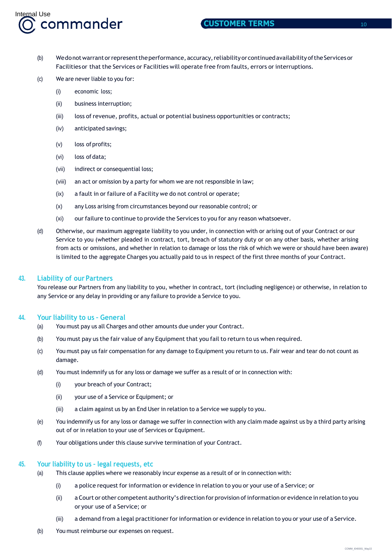

- (b) Wedonotwarrantorrepresenttheperformance, accuracy,reliabilityorcontinuedavailability oftheServicesor Facilitiesor that the Services or Facilities will operate free from faults, errors or interruptions.
- (c) We are never liable to you for:
	- (i) economic loss;
	- (ii) business interruption;
	- (iii) loss of revenue, profits, actual or potential business opportunities or contracts;
	- (iv) anticipated savings;
	- (v) loss of profits;
	- (vi) loss of data;
	- (vii) indirect or consequential loss;
	- (viii) an act or omission by a party for whom we are not responsible in law;
	- (ix) a fault in or failure of a Facility we do not control or operate;
	- (x) any Loss arising from circumstances beyond our reasonable control; or
	- (xi) our failure to continue to provide the Services to you for any reason whatsoever.
- (d) Otherwise, our maximum aggregate liability to you under, in connection with or arising out of your Contract or our Service to you (whether pleaded in contract, tort, breach of statutory duty or on any other basis, whether arising from acts or omissions, and whether in relation to damage or loss the risk of which we were or should have been aware) is limited to the aggregate Charges you actually paid to us in respect of the first three months of your Contract.

## **43. Liability of our Partners**

You release our Partners from any liability to you, whether in contract, tort (including negligence) or otherwise, in relation to any Service or any delay in providing or any failure to provide a Service to you.

## **44. Your liability to us – General**

- (a) You must pay us all Charges and other amounts due under your Contract.
- (b) You must pay us the fair value of any Equipment that you fail to return to us when required.
- (c) You must pay us fair compensation for any damage to Equipment you return to us. Fair wear and tear do not count as damage.
- (d) You must indemnify us for any loss or damage we suffer as a result of or in connection with:
	- (i) your breach of your Contract;
	- (ii) your use of a Service or Equipment; or
	- (iii) a claim against us by an End User in relation to a Service we supply to you.
- (e) You indemnify us for any loss or damage we suffer in connection with any claim made against us by a third party arising out of or in relation to your use of Services or Equipment.
- (f) Your obligations under this clause survive termination of your Contract.

## **45. Your liability to us – legal requests, etc**

- (a) This clause applies where we reasonably incur expense as a result of or in connection with:
	- (i) a police request for information or evidence in relation to you or your use of a Service; or
	- (ii) a Court or other competent authority's direction for provision ofinformation or evidence in relation to you or your use of a Service; or
	- (iii) a demand from a legal practitionerforinformation or evidence in relation to you or your use of a Service.
- (b) You must reimburse our expenses on request.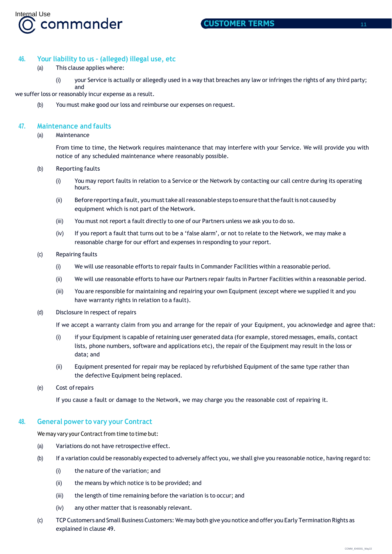

## **46. Your liability to us – (alleged) illegal use, etc**

- (a) This clause applies where:
	- (i) your Service is actually or allegedly used in a way that breaches any law or infringes the rights of any third party; and

we suffer loss or reasonably incur expense as a result.

(b) You must make good our loss and reimburse our expenses on request.

# **47. Maintenance and faults**

#### (a) Maintenance

From time to time, the Network requires maintenance that may interfere with your Service. We will provide you with notice of any scheduled maintenance where reasonably possible.

#### (b) Reporting faults

- (i) You may report faults in relation to a Service or the Network by contacting our call centre during its operating hours.
- (ii) Beforereporting afault, you musttake allreasonable steps to ensurethatthefaultis not caused by equipment which is not part of the Network.
- (iii) You must not report a fault directly to one of our Partners unless we ask you to do so.
- (iv) If you report a fault that turns out to be a 'false alarm', or not to relate to the Network, we may make a reasonable charge for our effort and expenses in responding to your report.

#### (c) Repairing faults

- (i) We will use reasonable efforts to repair faults in Commander Facilities within a reasonable period.
- (ii) We will use reasonable efforts to have our Partners repair faults in Partner Facilities within a reasonable period.
- (iii) You are responsible for maintaining and repairing your own Equipment (except where we supplied it and you have warranty rights in relation to a fault).
- (d) Disclosure in respect of repairs

If we accept a warranty claim from you and arrange for the repair of your Equipment, you acknowledge and agree that:

- (i) if your Equipment is capable of retaining user generated data (for example, stored messages, emails, contact lists, phone numbers, software and applications etc), the repair of the Equipment may result in the loss or data; and
- (ii) Equipment presented for repair may be replaced by refurbished Equipment of the same type rather than the defective Equipment being replaced.
- (e) Cost ofrepairs

If you cause a fault or damage to the Network, we may charge you the reasonable cost of repairing it.

## **48. General power to vary your Contract**

We may vary your Contract from time to time but:

- (a) Variations do not have retrospective effect.
- (b) If a variation could be reasonably expected to adversely affect you, we shall give you reasonable notice, having regard to:
	- (i) the nature of the variation; and
	- (ii) the means by which notice is to be provided; and
	- (iii) the length of time remaining before the variation is to occur; and
	- (iv) any other matter that is reasonably relevant.
- (c) TCP Customers and Small Business Customers: We may both give you notice and offer you Early Termination Rights as explained in clause 49.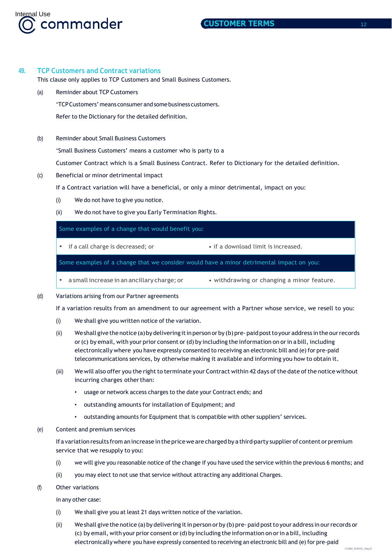

# **49. TCP Customers and Contract variations**

This clause only applies to TCP Customers and Small Business Customers.

(a) Reminder about TCP Customers

'TCPCustomers' means consumerandsomebusiness customers.

Refer to the Dictionary for the detailed definition.

(b) Reminder about Small Business Customers

'Small Business Customers' means a customer who is party to a

Customer Contract which is a Small Business Contract. Refer to Dictionary for the detailed definition.

(c) Beneficial or minor detrimental impact

If a Contract variation will have a beneficial, or only a minor detrimental, impact on you:

- (i) We do not have to give you notice.
- (ii) We do not have to give you Early Termination Rights.

| Some examples of a change that would benefit you:                                        |  |  |  |
|------------------------------------------------------------------------------------------|--|--|--|
| if a call charge is decreased; or<br>• if a download limit is increased.                 |  |  |  |
| Some examples of a change that we consider would have a minor detrimental impact on you: |  |  |  |

- a small increase in an ancillary charge; or  $\bullet$  withdrawing or changing a minor feature.
- (d) Variations arising from our Partner agreements

If a variation results from an amendment to our agreement with a Partner whose service, we resell to you:

- (i) We shall give you written notice of the variation.
- (ii) Weshall give the notice (a) by delivering it in person or by (b) pre-paid post to your address in the our records or (c) by email, with your prior consent or (d) by including the information on or in a bill, including electronically where you have expressly consented to receiving an electronic bill and (e) for pre-paid telecommunications services, by otherwise making it available and informing you how to obtain it.
- (iii) We will also offer you the right to terminate your Contract within 42 days of the date of the notice without incurring charges other than:
	- usage or network access charges to the date your Contract ends; and
	- outstanding amounts for installation of Equipment; and
	- outstanding amounts for Equipment that is compatible with other suppliers' services.
- (e) Content and premium services

If a variationresults from anincrease in the pricewe are charged by a third-party supplier of content or premium service that we resupply to you:

- (i) we will give you reasonable notice of the change if you have used the service within the previous 6 months; and
- (ii) you may elect to not use that service without attracting any additional Charges.
- (f) Other variations

in any other case:

- (i) We shall give you at least 21 days written notice of the variation.
- (ii) Weshall give the notice (a)by delivering itin person or by (b) pre- paid postto your address in ourrecords or (c) by email, with your prior consent or (d) by including the information on orin a bill, including electronically where you have expressly consented to receiving an electronic bill and (e) for pre-paid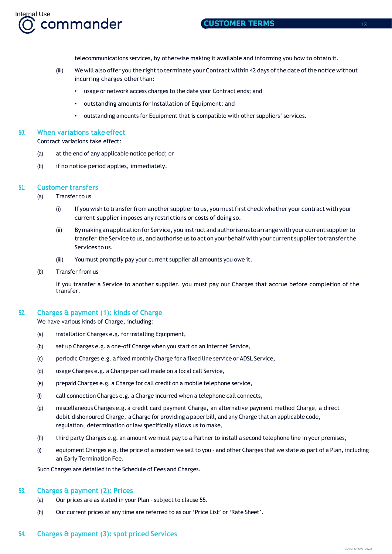

telecommunications services, by otherwise making it available and informing you how to obtain it.

- (iii) We will also offer you the right to terminate your Contract within 42 days of the date of the notice without incurring charges other than:
	- usage or network access charges to the date your Contract ends; and
	- outstanding amounts for installation of Equipment; and
	- outstanding amounts for Equipment that is compatible with other suppliers' services.

## **50. When variations take effect**

Contract variations take effect:

- (a) at the end of any applicable notice period; or
- (b) if no notice period applies, immediately.

## **51. Customer transfers**

- (a) Transfer to us
	- (i) If you wish to transferfrom another supplierto us, you mustfirst check whether your contract with your current supplier imposes any restrictions or costs of doing so.
	- (ii) By making anapplicationfor Service, youinstruct and authoriseus to arrangewithyour current supplierto transfer the Service to us, and authorise us to act on your behalf with your current supplier to transfer the Services to us.
	- (iii) You must promptly pay your current supplier all amounts you owe it.
- (b) Transfer from us

If you transfer a Service to another supplier, you must pay our Charges that accrue before completion of the transfer.

## **52. Charges & payment (1): kinds of Charge**

We have various kinds of Charge, including:

- (a) installation Charges e.g. for installing Equipment,
- (b) set up Charges e.g. a one-off Charge when you start on an Internet Service,
- (c) periodic Charges e.g. a fixed monthly Charge for a fixed line service or ADSL Service,
- (d) usage Charges e.g. a Charge per call made on a local call Service,
- (e) prepaid Charges e.g. a Charge for call credit on a mobile telephone service,
- (f) call connection Charges e.g. a Charge incurred when a telephone call connects,
- (g) miscellaneous Charges e.g. a credit card payment Charge, an alternative payment method Charge, a direct debit dishonoured Charge, a Charge for providing a paper bill, and any Charge that an applicable code, regulation, determination or law specifically allows us to make,
- (h) third party Charges e.g. an amount we must pay to a Partner to install a second telephone line in your premises,
- (i) equipment Charges e.g. the price of a modem we sell to you and other Charges that we state as part of a Plan, including an Early Termination Fee.

Such Charges are detailed in the Schedule of Fees and Charges.

# **53. Charges & payment (2): Prices**

- (a) Our prices are as stated in your Plan subject to clause 55.
- (b) Our current prices at any time are referred to as our 'Price List' or 'Rate Sheet'.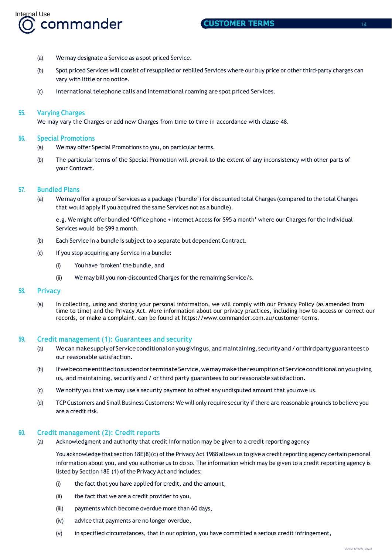

- (a) We may designate a Service as a spot priced Service.
- (b) Spot priced Services will consist of resupplied or rebilled Services where our buy price or other third-party charges can vary with little or no notice.
- (c) International telephone calls and international roaming are spot priced Services.

## **55. Varying Charges**

We may vary the Charges or add new Charges from time to time in accordance with clause 48.

## **56. Special Promotions**

- (a) We may offer Special Promotions to you, on particular terms.
- (b) The particular terms of the Special Promotion will prevail to the extent of any inconsistency with other parts of your Contract.

## **57. Bundled Plans**

(a) We may offer a group of Services as a package ('bundle') for discounted total Charges (compared to the total Charges that would apply if you acquired the same Services not as a bundle).

e.g. We might offer bundled 'Office phone + Internet Access for \$95 a month' where our Charges for the individual Services would be \$99 a month.

- (b) Each Service in a bundle is subject to a separate but dependent Contract.
- (c) If you stop acquiring any Service in a bundle:
	- (i) You have 'broken' the bundle, and
	- (ii) We may bill you non-discounted Charges for the remaining Service/s.

# **58. Privacy**

(a) In collecting, using and storing your personal information, we will comply with our Privacy Policy (as amended from time to time) and the Privacy Act. More information about our privacy practices, including how to access or correct our records, or make a complaint, can be found at https://www.commander.com.au/customer-terms.

## **59. Credit management (1): Guarantees and security**

- (a) Wecanmakesupplyof Serviceconditionalonyougivingus, andmaintaining, security and/orthirdpartyguarantees to our reasonable satisfaction.
- (b) If we become entitled to suspend or terminate Service, we may make the resumption of Service conditional on you giving us, and maintaining, security and / orthird party guarantees to our reasonable satisfaction.
- (c) We notify you that we may use a security payment to offset any undisputed amount that you owe us.
- (d) TCP Customers and Small Business Customers: We will only require security ifthere are reasonable grounds to believe you are a credit risk.

## **60. Credit management (2): Credit reports**

(a) Acknowledgment and authority that credit information may be given to a credit reporting agency

You acknowledge that section 18E(8)(c) of the Privacy Act 1988 allows us to give a credit reporting agency certain personal information about you, and you authorise us to do so. The information which may be given to a credit reporting agency is listed by Section 18E (1) of the Privacy Act and includes:

- (i) the fact that you have applied for credit, and the amount,
- (ii) the fact that we are a credit provider to you,
- (iii) payments which become overdue more than 60 days,
- (iv) advice that payments are no longer overdue,
- (v) in specified circumstances, that in our opinion, you have committed a serious credit infringement,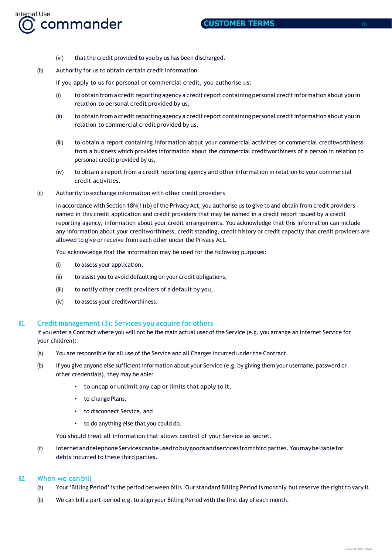- (vi) that the credit provided to you by us has been discharged.
- (b) Authority for us to obtain certain credit information

If you apply to us for personal or commercial credit, you authorise us:

- (i) to obtain from a credit reporting agency a credit report containing personal credit information about you in relation to personal credit provided by us,
- (ii) to obtain from a credit reporting agency a credit report containing personal credit information about you in relation to commercial credit provided by us,
- (iii) to obtain a report containing information about your commercial activities or commercial creditworthiness from a business which provides information about the commercial creditworthiness of a person in relation to personal credit provided by us,
- (iv) to obtain a report from a credit reporting agency and other information in relation to your commercial credit activities.
- (c) Authority to exchange information with other credit providers

In accordance with Section 18N(1)(b) of the Privacy Act, you authorise us to give to and obtain from credit providers named in this credit application and credit providers that may be named in a credit report issued by a credit reporting agency, information about your credit arrangements. You acknowledge that this information can include any information about your creditworthiness, credit standing, credit history or credit capacity that credit providers are allowed to give or receive from each other under the Privacy Act.

You acknowledge that the information may be used for the following purposes:

- (i) to assess your application,
- (ii) to assist you to avoid defaulting on your credit obligations,
- (iii) to notify other credit providers of a default by you,
- (iv) to assess your creditworthiness.

# **61. Credit management (3): Services you acquire for others**

If you enter a Contract where you will not be the main actual user of the Service (e.g. you arrange an Internet Service for your children):

- (a) You are responsible for all use of the Service and all Charges incurred under the Contract.
- (b) If you give anyone else sufficient information about your Service (e.g. by giving them your username, password or other credentials), they may be able:
	- to uncap or unlimit any cap or limits that apply to it,
	- to change Plans,
	- to disconnect Service, and
	- to do anything else that you could do.

You should treat all information that allows control of your Service as secret.

(c) InternetandtelephoneServicescanbeusedtobuygoodsandservices fromthirdparties.Youmaybeliablefor debts incurred to these third parties.

# **62. When we can bill**

- (a) Your 'Billing Period' is the period between bills. Our standard Billing Period is monthly but reserve the right to vary it.
- (b) We can bill a part-period e.g. to align your Billing Period with the first day of each month.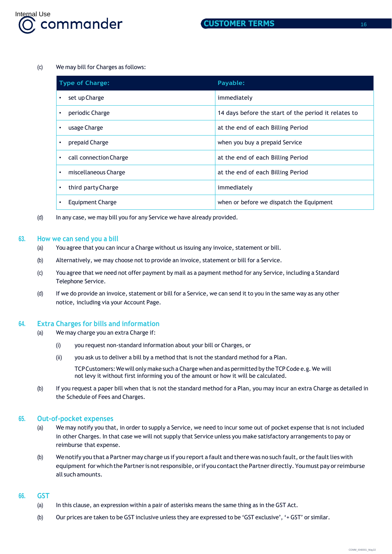

#### (c) We may bill for Charges as follows:

| <b>Type of Charge:</b>              | Payable:                                             |
|-------------------------------------|------------------------------------------------------|
| set up Charge<br>$\bullet$          | immediately                                          |
| periodic Charge<br>٠                | 14 days before the start of the period it relates to |
| usage Charge<br>$\bullet$           | at the end of each Billing Period                    |
| prepaid Charge                      | when you buy a prepaid Service                       |
| call connection Charge<br>$\bullet$ | at the end of each Billing Period                    |
| miscellaneous Charge<br>$\bullet$   | at the end of each Billing Period                    |
| third party Charge<br>٠             | immediately                                          |
| Equipment Charge<br>٠               | when or before we dispatch the Equipment             |

(d) In any case, we may bill you for any Service we have already provided.

#### **63. How we can send you a bill**

- (a) You agree that you can incur a Charge without us issuing any invoice, statement or bill.
- (b) Alternatively, we may choose not to provide an invoice, statement or bill for a Service.
- (c) You agree that we need not offer payment by mail as a payment method for any Service, including a Standard Telephone Service.
- (d) If we do provide an invoice, statement or bill for a Service, we can send it to you in the same way as any other notice, including via your Account Page.

## **64. Extra Charges for bills and information**

- (a) We may charge you an extra Charge if:
	- (i) you request non-standard information about your bill or Charges, or
	- (ii) you ask us to deliver a bill by a method that is not the standard method for a Plan.
		- TCPCustomers:Wewill only make such a Charge when and as permitted by the TCPCode e.g. We will not levy it without first informing you of the amount or how it will be calculated.
- (b) If you request a paper bill when that is not the standard method for a Plan, you may incur an extra Charge as detailed in the Schedule of Fees and Charges.

## **65. Out-of-pocket expenses**

- (a) We may notify you that, in order to supply a Service, we need to incur some out of pocket expense that is not included in other Charges. In that case we will not supply that Service unless you make satisfactory arrangements to pay or reimburse that expense.
- (b) Wenotify you that a Partner may charge us if you report a fault and there was no such fault, or the fault lies with equipment for which the Partner is not responsible, or if you contact the Partner directly. You must pay or reimburse all such amounts.

## **66. GST**

- (a) In this clause, an expression within a pair of asterisks means the same thing as in the GST Act.
- (b) Our prices are taken to be GST inclusive unless they are expressed to be 'GST exclusive', '+ GST' or similar.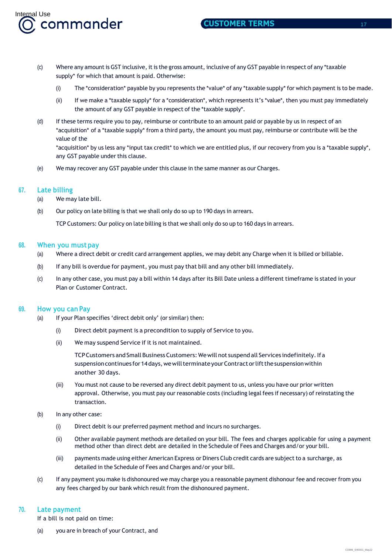- (c) Where any amount is GST inclusive, it is the gross amount, inclusive of any GST payable in respect of any \*taxable supply\* for which that amount is paid. Otherwise:
	- (i) The \*consideration\* payable by you represents the \*value\* of any \*taxable supply\* for which payment is to be made.
	- (ii) If we make a \*taxable supply\* for a \*consideration\*, which represents it's \*value\*, then you must pay immediately the amount of any GST payable in respect of the \*taxable supply\*.
- (d) If these terms require you to pay, reimburse or contribute to an amount paid or payable by us in respect of an \*acquisition\* of a \*taxable supply\* from a third party, the amount you must pay, reimburse or contribute will be the value of the

\*acquisition\* by us less any \*input tax credit\* to which we are entitled plus, if our recovery from you is a \*taxable supply\*, any GST payable under this clause.

(e) We may recover any GST payable under this clause in the same manner as our Charges.

## **67. Late billing**

(a) We may late bill.

Internal Use<br>**(O, commander** 

(b) Our policy on late billing is that we shall only do so up to 190 days in arrears.

TCP Customers: Our policy on late billing is that we shall only do so up to 160 days in arrears.

#### **68. When you must pay**

- (a) Where a direct debit or credit card arrangement applies, we may debit any Charge when it is billed or billable.
- (b) If any bill is overdue for payment, you must pay that bill and any other bill immediately.
- (c) In any other case, you must pay a bill within 14 days after its Bill Date unless a different timeframe is stated in your Plan or Customer Contract.

## **69. How you can Pay**

- (a) If your Plan specifies 'direct debit only' (or similar) then:
	- (i) Direct debit payment is a precondition to supply of Service to you.
	- (ii) We may suspend Service if it is not maintained.

TCPCustomers andSmall BusinessCustomers: Wewill not suspend all Services indefinitely.If a suspension continues for 14 days, we will terminate your Contract or lift the suspension within another 30 days.

- (iii) You must not cause to be reversed any direct debit payment to us, unless you have our prior written approval. Otherwise, you must pay our reasonable costs (including legal fees if necessary) of reinstating the transaction.
- (b) In any other case:
	- (i) Direct debit is our preferred payment method and incurs no surcharges.
	- (ii) Other available payment methods are detailed on your bill. The fees and charges applicable for using a payment method other than direct debt are detailed in the Schedule of Fees and Charges and/or your bill.
	- (iii) payments made using either American Express or Diners Club credit cards are subjectto a surcharge, as detailed in the Schedule of Fees and Charges and/or your bill.
- (c) If any payment you make is dishonoured we may charge you a reasonable payment dishonour fee and recover from you any fees charged by our bank which result from the dishonoured payment.

## **70. Late payment**

If a bill is not paid on time:

(a) you are in breach of your Contract, and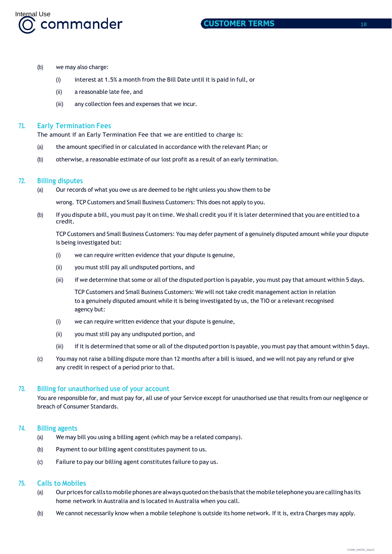

- (b) we may also charge:
	- (i) interest at 1.5% a month from the Bill Date until it is paid in full, or
	- (ii) a reasonable late fee, and
	- (iii) any collection fees and expenses that we incur.

# **71. Early Termination Fees**

The amount if an Early Termination Fee that we are entitled to charge is:

- (a) the amount specified in or calculated in accordance with the relevant Plan; or
- (b) otherwise, a reasonable estimate of our lost profit as a result of an early termination.

# **72. Billing disputes**

- (a) Our records of what you owe us are deemed to be right unless you show them to be wrong. TCP Customers and Small Business Customers: This does not apply to you.
- (b) If you dispute a bill, you must pay it on time. We shall credit you if it is later determined that you are entitled to a credit.

TCP Customers and Small Business Customers: You may defer payment of a genuinely disputed amount while your dispute is being investigated but:

- (i) we can require written evidence that your dispute is genuine,
- (ii) you must still pay all undisputed portions, and
- (iii) if we determine that some or all of the disputed portion is payable, you must pay that amount within 5 days.

TCP Customers and Small Business Customers: We will not take credit management action in relation to a genuinely disputed amount while it is being investigated by us, the TIO or a relevant recognised agency but:

- (i) we can require written evidence that your dispute is genuine,
- (ii) you must still pay any undisputed portion, and
- (iii) if it is determined that some or all of the disputed portion is payable, you must pay that amount within 5 days.
- (c) You may not raise a billing dispute more than 12 months after a bill is issued, and we will not pay any refund or give any credit in respect of a period prior to that.

## **73. Billing for unauthorised use of your account**

You are responsible for, and must pay for, all use of your Service except for unauthorised use that results from our negligence or breach of Consumer Standards.

## **74. Billing agents**

- (a) We may bill you using a billing agent (which may be a related company).
- (b) Payment to our billing agent constitutes payment to us.
- (c) Failure to pay our billing agent constitutes failure to pay us.

## **75. Calls to Mobiles**

- (a) Ourprices for calls to mobile phonesare alwaysquotedonthebasis thatthe mobiletelephoneyou arecalling has its home network in Australia and is located in Australia when you call.
- (b) We cannot necessarily know when a mobile telephone is outside its home network. If it is, extra Charges may apply.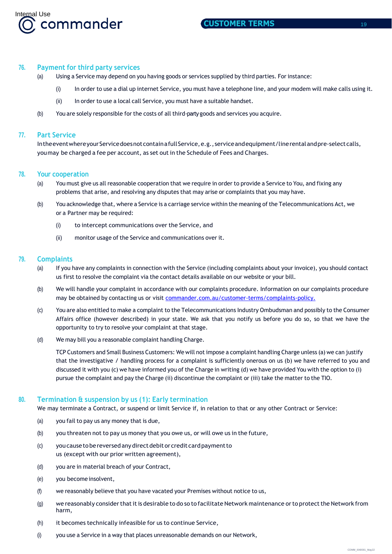

## **76. Payment for third party services**

- (a) Using a Service may depend on you having goods or services supplied by third parties. For instance:
	- (i) In order to use a dial up internet Service, you must have a telephone line, and your modem will make calls using it.
	- (ii) In order to use a local call Service, you must have a suitable handset.
- (b) You are solely responsible for the costs of all third-party goods and services you acquire.

## **77. Part Service**

Intheeventwhereyour Service doesnot containafull Service, e.g., service and equipment/line rental and pre-select calls, youmay be charged a fee per account, as set out in the Schedule of Fees and Charges.

#### **78. Your cooperation**

- (a) You must give us all reasonable cooperation that we require in order to provide a Service to You, and fixing any problems that arise, and resolving any disputes that may arise or complaints that you may have.
- (b) You acknowledge that, where a Service is a carriage service within the meaning of the Telecommunications Act, we or a Partner may be required:
	- (i) to intercept communications over the Service, and
	- (ii) monitor usage of the Service and communications over it.

## **79. Complaints**

- (a) If you have any complaints in connection with the Service (including complaints about your invoice), you should contact us first to resolve the complaint via the contact details available on our website or your bill.
- (b) We will handle your complaint in accordance with our complaints procedure. Information on our complaints procedure may be obtained by contacting us or visit [commander.com.au/customer-terms/complaints-policy.](https://www.commander.com.au/customer-terms/complaints-policy.)
- (c) You are also entitled to make a complaint to the Telecommunications Industry Ombudsman and possibly to the Consumer Affairs office (however described) in your state. We ask that you notify us before you do so, so that we have the opportunity to try to resolve your complaint at that stage.
- (d) We may bill you a reasonable complaint handling Charge.

TCP Customers and Small Business Customers: We will not impose a complaint handling Charge unless (a) we can justify that the investigative / handling process for a complaint is sufficiently onerous on us (b) we have referred to you and discussed it with you (c) we have informed you of the Charge in writing (d) we have provided You with the option to (i) pursue the complaint and pay the Charge (ii) discontinue the complaint or (iii) take the matter to the TIO.

# **80. Termination & suspension by us (1): Early termination**

We may terminate a Contract, or suspend or limit Service if, in relation to that or any other Contract or Service:

- (a) you fail to pay us any money that is due,
- (b) you threaten not to pay us money that you owe us, or will owe us in the future,
- (c) youcausetobereversedanydirectdebitor credit cardpaymentto us (except with our prior written agreement),
- (d) you are in material breach of your Contract,
- (e) you become insolvent,
- (f) we reasonably believe that you have vacated your Premises without notice to us,
- (g) we reasonably consider that it is desirable to do so to facilitate Network maintenance or to protect the Network from harm,
- (h) it becomes technically infeasible for us to continue Service,
- (i) you use a Service in a way that places unreasonable demands on our Network,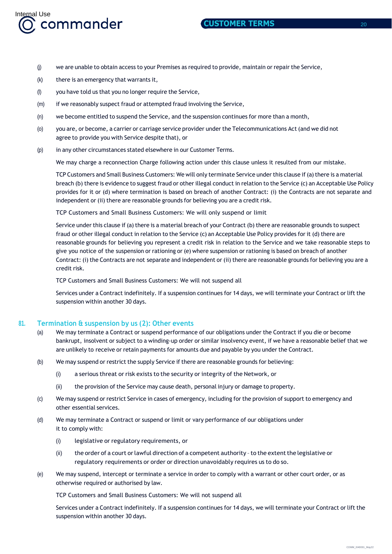

- (j) we are unable to obtain access to your Premises as required to provide, maintain or repair the Service,
- (k) there is an emergency that warrants it,
- (l) you have told us that you no longer require the Service,
- (m) if we reasonably suspect fraud or attempted fraud involving the Service,
- (n) we become entitled to suspend the Service, and the suspension continues for more than a month,
- (o) you are, or become, a carrier or carriage service provider under the Telecommunications Act (and we did not agree to provide you with Service despite that), or
- (p) in any other circumstances stated elsewhere in our Customer Terms.

We may charge a reconnection Charge following action under this clause unless it resulted from our mistake.

TCP Customers and Small Business Customers: We will only terminate Service under this clause if (a) there is a material breach (b) there is evidence to suggest fraud or other illegal conduct in relation to the Service (c) an Acceptable Use Policy provides for it or (d) where termination is based on breach of another Contract: (i) the Contracts are not separate and independent or (ii) there are reasonable grounds for believing you are a credit risk.

TCP Customers and Small Business Customers: We will only suspend or limit

Service under this clause if (a) there is a material breach of your Contract (b) there are reasonable grounds to suspect fraud or other illegal conduct in relation to the Service (c) an Acceptable Use Policy provides for it (d) there are reasonable grounds for believing you represent a credit risk in relation to the Service and we take reasonable steps to give you notice of the suspension or rationing or (e) where suspension or rationing is based on breach of another Contract: (i) the Contracts are not separate and independent or (ii) there are reasonable grounds for believing you are a credit risk.

TCP Customers and Small Business Customers: We will not suspend all

Services under a Contract indefinitely. If a suspension continues for 14 days, we will terminate your Contract or lift the suspension within another 30 days.

#### **81. Termination & suspension by us (2): Other events**

- (a) We may terminate a Contract or suspend performance of our obligations under the Contract if you die or become bankrupt, insolvent or subject to a winding-up order or similar insolvency event, if we have a reasonable belief that we are unlikely to receive or retain payments for amounts due and payable by you under the Contract.
- (b) We may suspend or restrict the supply Service if there are reasonable grounds for believing:
	- (i) a serious threat or risk exists to the security or integrity of the Network, or
	- (ii) the provision of the Service may cause death, personal injury or damage to property.
- (c) We may suspend or restrict Service in cases of emergency, including for the provision of support to emergency and other essential services.
- (d) We may terminate a Contract or suspend or limit or vary performance of our obligations under it to comply with:
	- (i) legislative or regulatory requirements, or
	- (ii) the order of a court orlawful direction of a competent authority –to the extentthe legislative or regulatory requirements or order or direction unavoidably requires us to do so.
- (e) We may suspend, intercept or terminate a service in order to comply with a warrant or other court order, or as otherwise required or authorised by law.

TCP Customers and Small Business Customers: We will not suspend all

Services under a Contract indefinitely. If a suspension continues for 14 days, we will terminate your Contract or lift the suspension within another 30 days.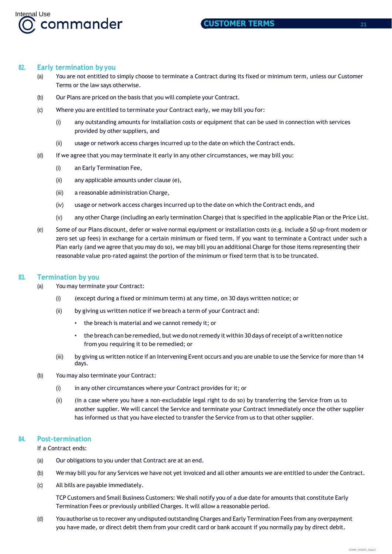

## **82. Early termination by you**

- (a) You are not entitled to simply choose to terminate a Contract during its fixed or minimum term, unless our Customer Terms or the law says otherwise.
- (b) Our Plans are priced on the basis that you will complete your Contract.
- (c) Where you are entitled to terminate your Contract early, we may bill you for:
	- (i) any outstanding amounts for installation costs or equipment that can be used in connection with services provided by other suppliers, and
	- (ii) usage or network access charges incurred up to the date on which the Contract ends.
- (d) If we agree that you may terminate it early in any other circumstances, we may bill you:
	- (i) an Early Termination Fee,
	- (ii) any applicable amounts under clause (e),
	- (iii) a reasonable administration Charge,
	- (iv) usage or network access charges incurred up to the date on which the Contract ends, and
	- (v) any other Charge (including an early termination Charge) that is specified in the applicable Plan or the Price List.
- (e) Some of our Plans discount, defer or waive normal equipment or installation costs (e.g. include a \$0 up-front modem or zero set up fees) in exchange for a certain minimum or fixed term. If you want to terminate a Contract under such a Plan early (and we agree that you may do so), we may bill you an additional Charge for those items representing their reasonable value pro-rated against the portion of the minimum or fixed term that is to be truncated.

## **83. Termination by you**

- (a) You may terminate your Contract:
	- (i) (except during a fixed or minimum term) at any time, on 30 days written notice; or
	- (ii) by giving us written notice if we breach a term of your Contract and:
		- the breach is material and we cannot remedy it; or
		- the breach can be remedied, but we do not remedy it within 30 days of receipt of a written notice from you requiring it to be remedied; or
	- (iii) by giving us written notice if an Intervening Event occurs and you are unable to use the Service for more than 14 days.
- (b) You may also terminate your Contract:
	- (i) in any other circumstances where your Contract provides for it; or
	- (ii) (in a case where you have a non-excludable legal right to do so) by transferring the Service from us to another supplier. We will cancel the Service and terminate your Contract immediately once the other supplier has informed us that you have elected to transfer the Service from us to that other supplier.

## **84. Post-termination**

If a Contract ends:

- (a) Our obligations to you under that Contract are at an end.
- (b) We may bill you for any Services we have not yet invoiced and all other amounts we are entitled to under the Contract.
- (c) All bills are payable immediately.

TCP Customers and Small Business Customers: We shall notify you of a due date for amounts that constitute Early Termination Fees or previously unbilled Charges. It will allow a reasonable period.

(d) You authorise us to recover any undisputed outstanding Charges and Early Termination Fees from any overpayment you have made, or direct debit them from your credit card or bank account if you normally pay by direct debit.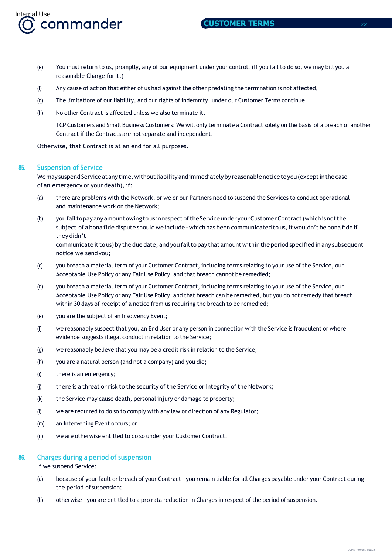

- (e) You must return to us, promptly, any of our equipment under your control. (If you fail to do so, we may bill you a reasonable Charge forit.)
- (f) Any cause of action that either of us had against the other predating the termination is not affected,
- (g) The limitations of our liability, and our rights of indemnity, under our Customer Terms continue,
- (h) No other Contract is affected unless we also terminate it.

TCP Customers and Small Business Customers: We will only terminate a Contract solely on the basis of a breach of another Contract if the Contracts are not separate and independent.

Otherwise, that Contract is at an end for all purposes.

#### **85. Suspension of Service**

We may suspend Service at any time, without liability and immediately by reasonable notice to you (except in the case of an emergency or your death), if:

- (a) there are problems with the Network, or we or our Partners need to suspend the Services to conduct operational and maintenance work on the Network;
- (b) you fail to pay any amount owing tous in respect of the Service under your Customer Contract (which is not the subject of a bona fide dispute should we include - which has been communicated to us, it wouldn't be bona fide if they didn't communicate it to us) by the due date, and you fail to pay that amount within the period specified in any subsequent

notice we sendyou;

- (c) you breach a material term of your Customer Contract, including terms relating to your use of the Service, our Acceptable Use Policy or any Fair Use Policy, and that breach cannot be remedied;
- (d) you breach a material term of your Customer Contract, including terms relating to your use of the Service, our Acceptable Use Policy or any Fair Use Policy, and that breach can be remedied, but you do not remedy that breach within 30 days of receipt of a notice from us requiring the breach to be remedied;
- (e) you are the subject of an Insolvency Event;
- (f) we reasonably suspect that you, an End User or any person in connection with the Service is fraudulent or where evidence suggests illegal conduct in relation to the Service;
- (g) we reasonably believe that you may be a credit risk in relation to the Service;
- (h) you are a natural person (and not a company) and you die;
- (i) there is an emergency;
- (j) there is a threat or risk to the security of the Service or integrity of the Network;
- (k) the Service may cause death, personal injury or damage to property;
- (l) we are required to do so to comply with any law or direction of any Regulator;
- (m) an Intervening Event occurs; or
- (n) we are otherwise entitled to do so under your Customer Contract.

#### **86. Charges during a period of suspension**

If we suspend Service:

- (a) because of your fault or breach of your Contract you remain liable for all Charges payable under your Contract during the period of suspension;
- (b) otherwise you are entitled to a pro rata reduction in Charges in respect of the period of suspension.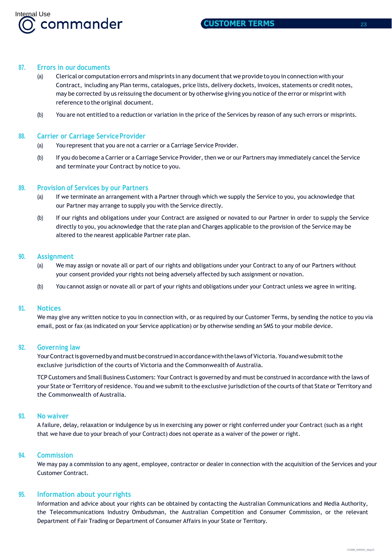

## **87. Errors in our documents**

- (a) Clerical or computation errors and misprints in any documentthat we provide to you in connectionwith your Contract, including any Plan terms, catalogues, price lists, delivery dockets, invoices, statements or credit notes, may be corrected by us reissuing the document or by otherwise giving you notice ofthe error or misprint with reference to the original document.
- (b) You are not entitled to a reduction or variation in the price of the Services by reason of any such errors or misprints.

#### **88. Carrier or Carriage ServiceProvider**

- (a) You represent that you are not a carrier or a Carriage Service Provider.
- (b) If you do become a Carrier or a Carriage Service Provider, then we or our Partners may immediately cancel the Service and terminate your Contract by notice to you.

#### **89. Provision of Services by our Partners**

- (a) If we terminate an arrangement with a Partner through which we supply the Service to you, you acknowledge that our Partner may arrange to supply you with the Service directly.
- (b) If our rights and obligations under your Contract are assigned or novated to our Partner in order to supply the Service directly to you, you acknowledge that the rate plan and Charges applicable to the provision of the Service may be altered to the nearest applicable Partner rate plan.

#### **90. Assignment**

- (a) We may assign or novate all or part of our rights and obligations under your Contract to any of our Partners without your consent provided your rights not being adversely affected by such assignment or novation.
- (b) You cannot assign or novate all or part of your rights and obligations under your Contract unless we agree in writing.

#### **91. Notices**

We may give any written notice to you in connection with, or as required by our Customer Terms, by sending the notice to you via email, post or fax (as indicated on your Service application) or by otherwise sending an SMS to your mobile device.

## **92. Governing law**

YourContractisgovernedbyandmustbeconstruedinaccordancewiththelawsofVictoria.Youandwesubmittothe exclusive jurisdiction of the courts of Victoria and the Commonwealth of Australia.

TCP Customers and Small Business Customers: Your Contract is governed by and must be construed in accordance with the laws of your State or Territory of residence. You and we submit to the exclusive jurisdiction of the courts of that State or Territory and the Commonwealth of Australia.

# **93. No waiver**

A failure, delay, relaxation or indulgence by us in exercising any power or right conferred under your Contract (such as a right that we have due to your breach of your Contract) does not operate as a waiver of the power or right.

#### **94. Commission**

We may pay a commission to any agent, employee, contractor or dealer in connection with the acquisition of the Services and your Customer Contract.

## **95. Information about your rights**

Information and advice about your rights can be obtained by contacting the Australian Communications and Media Authority, the Telecommunications Industry Ombudsman, the Australian Competition and Consumer Commission, or the relevant Department of Fair Trading or Department of Consumer Affairs in your State or Territory.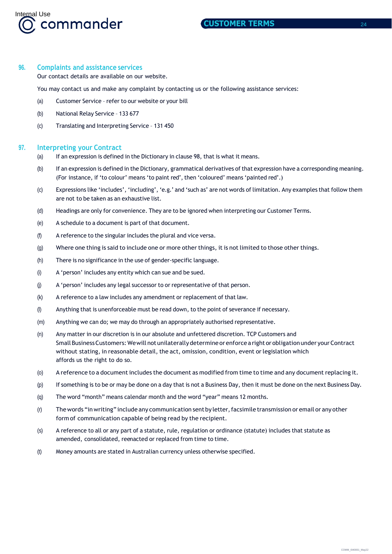

## **96. Complaints and assistance services**

Our contact details are available on our website.

You may contact us and make any complaint by contacting us or the following assistance services:

- (a) Customer Service refer to our website or your bill
- (b) National Relay Service 133 677
- (c) Translating and Interpreting Service 131 450

## **97. Interpreting your Contract**

- (a) If an expression is defined in the Dictionary in clause 98, that is what it means.
- (b) If an expression is defined in the Dictionary, grammatical derivatives of that expression have a corresponding meaning. (For instance, if 'to colour' means 'to paint red', then 'coloured' means 'painted red'.)
- (c) Expressions like 'includes', 'including', 'e.g.' and 'such as' are not words of limitation. Any examples that follow them are not to be taken as an exhaustive list.
- (d) Headings are only for convenience. They are to be ignored when interpreting our Customer Terms.
- (e) A schedule to a document is part of that document.
- (f) A reference to the singular includes the plural and vice versa.
- (g) Where one thing is said to include one or more other things, it is not limited to those other things.
- (h) There is no significance in the use of gender-specific language.
- (i) A 'person' includes any entity which can sue and be sued.
- (j) A 'person' includes any legal successor to or representative of that person.
- (k) A reference to a law includes any amendment or replacement of that law.
- (l) Anything that is unenforceable must be read down, to the point of severance if necessary.
- (m) Anything we can do; we may do through an appropriately authorised representative.
- (n) Any matter in our discretion is in our absolute and unfettered discretion. TCP Customers and Small Business Customers: We will not unilaterally determine or enforce a right or obligation under your Contract without stating, in reasonable detail, the act, omission, condition, event or legislation which affords us the right to do so.
- (o) A reference to a document includes the document as modified from time to time and any document replacing it.
- (p) If something is to be or may be done on a day that is not a Business Day, then it must be done on the next Business Day.
- (q) The word "month" means calendar month and the word "year" means 12 months.
- (r) The words "in writing" include any communication sent by letter, facsimile transmission or email or any other form of communication capable of being read by the recipient.
- (s) A reference to all or any part of a statute, rule, regulation or ordinance (statute) includes that statute as amended, consolidated, reenacted or replaced from time to time.
- (t) Money amounts are stated in Australian currency unless otherwise specified.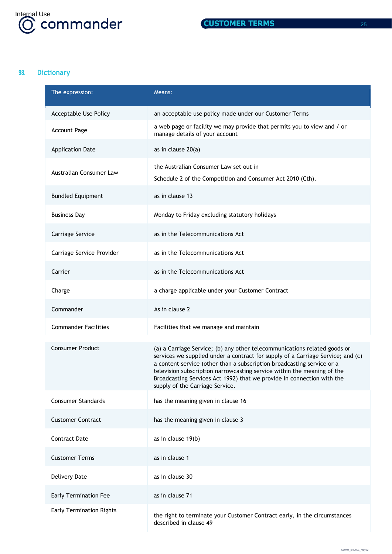

# **98. Dictionary**

| The expression:                 | Means:                                                                                                                                                                                                                                                                                                                                                                                                                         |
|---------------------------------|--------------------------------------------------------------------------------------------------------------------------------------------------------------------------------------------------------------------------------------------------------------------------------------------------------------------------------------------------------------------------------------------------------------------------------|
| Acceptable Use Policy           | an acceptable use policy made under our Customer Terms                                                                                                                                                                                                                                                                                                                                                                         |
| <b>Account Page</b>             | a web page or facility we may provide that permits you to view and / or<br>manage details of your account                                                                                                                                                                                                                                                                                                                      |
| <b>Application Date</b>         | as in clause 20(a)                                                                                                                                                                                                                                                                                                                                                                                                             |
| Australian Consumer Law         | the Australian Consumer Law set out in<br>Schedule 2 of the Competition and Consumer Act 2010 (Cth).                                                                                                                                                                                                                                                                                                                           |
| <b>Bundled Equipment</b>        | as in clause 13                                                                                                                                                                                                                                                                                                                                                                                                                |
| <b>Business Day</b>             | Monday to Friday excluding statutory holidays                                                                                                                                                                                                                                                                                                                                                                                  |
| Carriage Service                | as in the Telecommunications Act                                                                                                                                                                                                                                                                                                                                                                                               |
| Carriage Service Provider       | as in the Telecommunications Act                                                                                                                                                                                                                                                                                                                                                                                               |
| Carrier                         | as in the Telecommunications Act                                                                                                                                                                                                                                                                                                                                                                                               |
| Charge                          | a charge applicable under your Customer Contract                                                                                                                                                                                                                                                                                                                                                                               |
| Commander                       | As in clause 2                                                                                                                                                                                                                                                                                                                                                                                                                 |
| <b>Commander Facilities</b>     | Facilities that we manage and maintain                                                                                                                                                                                                                                                                                                                                                                                         |
| <b>Consumer Product</b>         | (a) a Carriage Service; (b) any other telecommunications related goods or<br>services we supplied under a contract for supply of a Carriage Service; and (c)<br>a content service (other than a subscription broadcasting service or a<br>television subscription narrowcasting service within the meaning of the<br>Broadcasting Services Act 1992) that we provide in connection with the<br>supply of the Carriage Service. |
| <b>Consumer Standards</b>       | has the meaning given in clause 16                                                                                                                                                                                                                                                                                                                                                                                             |
| <b>Customer Contract</b>        | has the meaning given in clause 3                                                                                                                                                                                                                                                                                                                                                                                              |
| <b>Contract Date</b>            | as in clause 19(b)                                                                                                                                                                                                                                                                                                                                                                                                             |
| <b>Customer Terms</b>           | as in clause 1                                                                                                                                                                                                                                                                                                                                                                                                                 |
| <b>Delivery Date</b>            | as in clause 30                                                                                                                                                                                                                                                                                                                                                                                                                |
| <b>Early Termination Fee</b>    | as in clause 71                                                                                                                                                                                                                                                                                                                                                                                                                |
| <b>Early Termination Rights</b> | the right to terminate your Customer Contract early, in the circumstances<br>described in clause 49                                                                                                                                                                                                                                                                                                                            |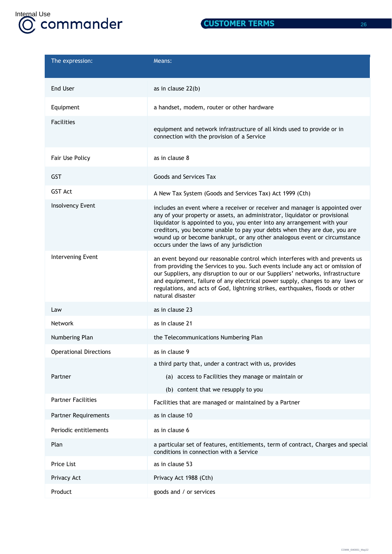

| $\mathcal{L}(\mathcal{L})$ |  |
|----------------------------|--|
|                            |  |
|                            |  |
|                            |  |

| The expression:               | Means:                                                                                                                                                                                                                                                                                                                                                                                                                                         |
|-------------------------------|------------------------------------------------------------------------------------------------------------------------------------------------------------------------------------------------------------------------------------------------------------------------------------------------------------------------------------------------------------------------------------------------------------------------------------------------|
| End User                      | as in clause 22(b)                                                                                                                                                                                                                                                                                                                                                                                                                             |
| Equipment                     | a handset, modem, router or other hardware                                                                                                                                                                                                                                                                                                                                                                                                     |
| <b>Facilities</b>             | equipment and network infrastructure of all kinds used to provide or in<br>connection with the provision of a Service                                                                                                                                                                                                                                                                                                                          |
| Fair Use Policy               | as in clause 8                                                                                                                                                                                                                                                                                                                                                                                                                                 |
| <b>GST</b>                    | Goods and Services Tax                                                                                                                                                                                                                                                                                                                                                                                                                         |
| <b>GST Act</b>                | A New Tax System (Goods and Services Tax) Act 1999 (Cth)                                                                                                                                                                                                                                                                                                                                                                                       |
| Insolvency Event              | includes an event where a receiver or receiver and manager is appointed over<br>any of your property or assets, an administrator, liquidator or provisional<br>liquidator is appointed to you, you enter into any arrangement with your<br>creditors, you become unable to pay your debts when they are due, you are<br>wound up or become bankrupt, or any other analogous event or circumstance<br>occurs under the laws of any jurisdiction |
| Intervening Event             | an event beyond our reasonable control which interferes with and prevents us<br>from providing the Services to you. Such events include any act or omission of<br>our Suppliers, any disruption to our or our Suppliers' networks, infrastructure<br>and equipment, failure of any electrical power supply, changes to any laws or<br>regulations, and acts of God, lightning strikes, earthquakes, floods or other<br>natural disaster        |
| Law                           | as in clause 23                                                                                                                                                                                                                                                                                                                                                                                                                                |
| <b>Network</b>                | as in clause 21                                                                                                                                                                                                                                                                                                                                                                                                                                |
| Numbering Plan                | the Telecommunications Numbering Plan                                                                                                                                                                                                                                                                                                                                                                                                          |
| <b>Operational Directions</b> | as in clause 9                                                                                                                                                                                                                                                                                                                                                                                                                                 |
|                               | a third party that, under a contract with us, provides                                                                                                                                                                                                                                                                                                                                                                                         |
| Partner                       | (a) access to Facilities they manage or maintain or                                                                                                                                                                                                                                                                                                                                                                                            |
| <b>Partner Facilities</b>     | (b) content that we resupply to you                                                                                                                                                                                                                                                                                                                                                                                                            |
|                               | Facilities that are managed or maintained by a Partner                                                                                                                                                                                                                                                                                                                                                                                         |
| <b>Partner Requirements</b>   | as in clause 10                                                                                                                                                                                                                                                                                                                                                                                                                                |
| Periodic entitlements         | as in clause 6                                                                                                                                                                                                                                                                                                                                                                                                                                 |
| Plan                          | a particular set of features, entitlements, term of contract, Charges and special<br>conditions in connection with a Service                                                                                                                                                                                                                                                                                                                   |
| Price List                    | as in clause 53                                                                                                                                                                                                                                                                                                                                                                                                                                |
| Privacy Act                   | Privacy Act 1988 (Cth)                                                                                                                                                                                                                                                                                                                                                                                                                         |
| Product                       | goods and / or services                                                                                                                                                                                                                                                                                                                                                                                                                        |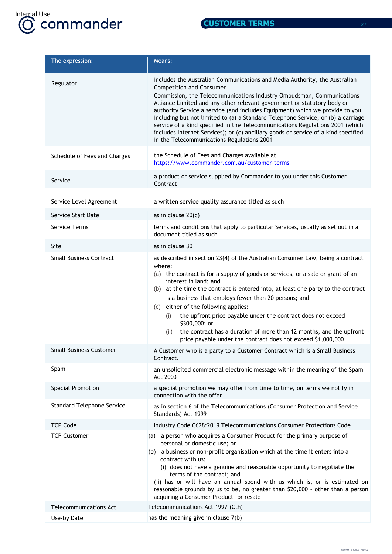

| The expression:                   | Means:                                                                                                                                                                                                                                                                                                                                                                                                                                                                                                                                                                                                                                               |
|-----------------------------------|------------------------------------------------------------------------------------------------------------------------------------------------------------------------------------------------------------------------------------------------------------------------------------------------------------------------------------------------------------------------------------------------------------------------------------------------------------------------------------------------------------------------------------------------------------------------------------------------------------------------------------------------------|
| Regulator                         | includes the Australian Communications and Media Authority, the Australian<br>Competition and Consumer<br>Commission, the Telecommunications Industry Ombudsman, Communications<br>Alliance Limited and any other relevant government or statutory body or<br>authority Service a service (and includes Equipment) which we provide to you,<br>including but not limited to (a) a Standard Telephone Service; or (b) a carriage<br>service of a kind specified in the Telecommunications Regulations 2001 (which<br>includes Internet Services); or (c) ancillary goods or service of a kind specified<br>in the Telecommunications Regulations 2001 |
| Schedule of Fees and Charges      | the Schedule of Fees and Charges available at<br>https://www.commander.com.au/customer-terms                                                                                                                                                                                                                                                                                                                                                                                                                                                                                                                                                         |
| Service                           | a product or service supplied by Commander to you under this Customer<br>Contract                                                                                                                                                                                                                                                                                                                                                                                                                                                                                                                                                                    |
| Service Level Agreement           | a written service quality assurance titled as such                                                                                                                                                                                                                                                                                                                                                                                                                                                                                                                                                                                                   |
| Service Start Date                | as in clause $20(c)$                                                                                                                                                                                                                                                                                                                                                                                                                                                                                                                                                                                                                                 |
| <b>Service Terms</b>              | terms and conditions that apply to particular Services, usually as set out in a<br>document titled as such                                                                                                                                                                                                                                                                                                                                                                                                                                                                                                                                           |
| Site                              | as in clause 30                                                                                                                                                                                                                                                                                                                                                                                                                                                                                                                                                                                                                                      |
| <b>Small Business Contract</b>    | as described in section 23(4) of the Australian Consumer Law, being a contract<br>where:<br>(a) the contract is for a supply of goods or services, or a sale or grant of an<br>interest in land; and<br>at the time the contract is entered into, at least one party to the contract<br>(b)<br>is a business that employs fewer than 20 persons; and<br>(c) either of the following applies:<br>the upfront price payable under the contract does not exceed<br>(i)<br>\$300,000; or<br>the contract has a duration of more than 12 months, and the upfront<br>(ii)<br>price payable under the contract does not exceed \$1,000,000                  |
| <b>Small Business Customer</b>    | A Customer who is a party to a Customer Contract which is a Small Business<br>Contract.                                                                                                                                                                                                                                                                                                                                                                                                                                                                                                                                                              |
| Spam                              | an unsolicited commercial electronic message within the meaning of the Spam<br>Act 2003                                                                                                                                                                                                                                                                                                                                                                                                                                                                                                                                                              |
| Special Promotion                 | a special promotion we may offer from time to time, on terms we notify in<br>connection with the offer                                                                                                                                                                                                                                                                                                                                                                                                                                                                                                                                               |
| <b>Standard Telephone Service</b> | as in section 6 of the Telecommunications (Consumer Protection and Service<br>Standards) Act 1999                                                                                                                                                                                                                                                                                                                                                                                                                                                                                                                                                    |
| <b>TCP Code</b>                   | Industry Code C628:2019 Telecommunications Consumer Protections Code                                                                                                                                                                                                                                                                                                                                                                                                                                                                                                                                                                                 |
| <b>TCP Customer</b>               | (a) a person who acquires a Consumer Product for the primary purpose of<br>personal or domestic use; or<br>(b) a business or non-profit organisation which at the time it enters into a<br>contract with us:<br>(i) does not have a genuine and reasonable opportunity to negotiate the<br>terms of the contract; and<br>(ii) has or will have an annual spend with us which is, or is estimated on<br>reasonable grounds by us to be, no greater than \$20,000 - other than a person<br>acquiring a Consumer Product for resale                                                                                                                     |
| <b>Telecommunications Act</b>     | Telecommunications Act 1997 (Cth)                                                                                                                                                                                                                                                                                                                                                                                                                                                                                                                                                                                                                    |
| Use-by Date                       | has the meaning give in clause 7(b)                                                                                                                                                                                                                                                                                                                                                                                                                                                                                                                                                                                                                  |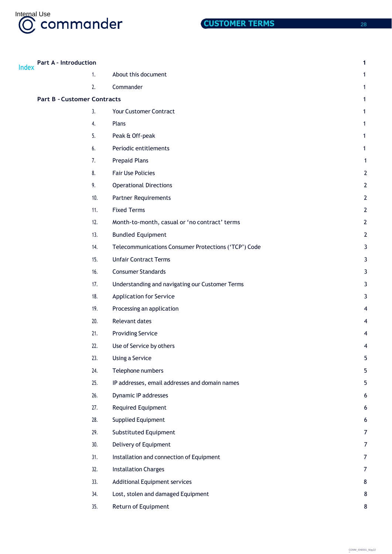

|              | <b>Part A - Introduction</b>       |     |                                                      | 1                |
|--------------|------------------------------------|-----|------------------------------------------------------|------------------|
| <b>Index</b> |                                    | 1.  | About this document                                  | 1                |
|              |                                    | 2.  | Commander                                            | 1                |
|              | <b>Part B - Customer Contracts</b> |     |                                                      | 1                |
|              |                                    | 3.  | Your Customer Contract                               | 1                |
|              |                                    | 4.  | Plans                                                | 1                |
|              |                                    | 5.  | Peak & Off-peak                                      | 1                |
|              |                                    | 6.  | Periodic entitlements                                | 1                |
|              |                                    | 7.  | <b>Prepaid Plans</b>                                 | 1                |
|              |                                    | 8.  | <b>Fair Use Policies</b>                             | $\overline{2}$   |
|              |                                    | 9.  | <b>Operational Directions</b>                        | $\overline{2}$   |
|              |                                    | 10. | <b>Partner Requirements</b>                          | $\mathbf{2}$     |
|              |                                    | 11. | <b>Fixed Terms</b>                                   | $\overline{2}$   |
|              |                                    | 12. | Month-to-month, casual or 'no contract' terms        | $\overline{2}$   |
|              |                                    | 13. | <b>Bundled Equipment</b>                             | $\overline{2}$   |
|              |                                    | 14. | Telecommunications Consumer Protections ('TCP') Code | 3                |
|              |                                    | 15. | <b>Unfair Contract Terms</b>                         | 3                |
|              |                                    | 16. | <b>Consumer Standards</b>                            | 3                |
|              |                                    | 17. | Understanding and navigating our Customer Terms      | 3                |
|              |                                    | 18. | <b>Application for Service</b>                       | 3                |
|              |                                    | 19. | Processing an application                            |                  |
|              |                                    | 20. | Relevant dates                                       |                  |
|              |                                    | 21. | <b>Providing Service</b>                             |                  |
|              |                                    | 22. | Use of Service by others                             | 4                |
|              |                                    | 23. | Using a Service                                      | 5                |
|              |                                    | 24. | Telephone numbers                                    | 5                |
|              |                                    | 25. | IP addresses, email addresses and domain names       | 5                |
|              |                                    | 26. | Dynamic IP addresses                                 | 6                |
|              |                                    | 27. | Required Equipment                                   | 6                |
|              |                                    | 28. | <b>Supplied Equipment</b>                            | 6                |
|              |                                    | 29. | Substituted Equipment                                | $\overline{7}$   |
|              |                                    | 30. | Delivery of Equipment                                | $\overline{7}$   |
|              |                                    | 31. | Installation and connection of Equipment             | $\overline{7}$   |
|              |                                    | 32. | <b>Installation Charges</b>                          | $\boldsymbol{7}$ |
|              |                                    | 33. | <b>Additional Equipment services</b>                 | 8                |
|              |                                    | 34. | Lost, stolen and damaged Equipment                   | 8                |
|              |                                    | 35. | Return of Equipment                                  | 8                |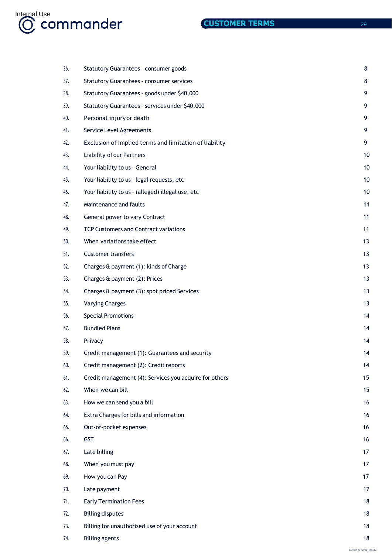

| 36. | Statutory Guarantees - consumer goods                  | 8  |
|-----|--------------------------------------------------------|----|
| 37. | <b>Statutory Guarantees - consumer services</b>        | 8  |
| 38. | Statutory Guarantees - goods under \$40,000            | 9  |
| 39. | Statutory Guarantees - services under \$40,000         | 9  |
| 40. | Personal injury or death                               | 9  |
| 41. | Service Level Agreements                               | 9  |
| 42. | Exclusion of implied terms and limitation of liability | 9  |
| 43. | Liability of our Partners                              | 10 |
| 44. | Your liability to us - General                         | 10 |
| 45. | Your liability to us - legal requests, etc             | 10 |
| 46. | Your liability to us - (alleged) illegal use, etc      | 10 |
| 47. | Maintenance and faults                                 | 11 |
| 48. | General power to vary Contract                         | 11 |
| 49. | <b>TCP Customers and Contract variations</b>           | 11 |
| 50. | When variations take effect                            | 13 |
| 51. | <b>Customer transfers</b>                              | 13 |
| 52. | Charges & payment (1): kinds of Charge                 | 13 |
| 53. | Charges & payment (2): Prices                          | 13 |
| 54. | Charges & payment (3): spot priced Services            | 13 |
| 55. | <b>Varying Charges</b>                                 | 13 |
| 56. | <b>Special Promotions</b>                              | 14 |
| 57. | <b>Bundled Plans</b>                                   | 14 |
| 58. | Privacy                                                | 14 |
| 59. | Credit management (1): Guarantees and security         | 14 |
| 60. | Credit management (2): Credit reports                  | 14 |
| 61. | Credit management (4): Services you acquire for others | 15 |
| 62. | When we can bill                                       | 15 |
| 63. | How we can send you a bill                             | 16 |
| 64. | Extra Charges for bills and information                | 16 |
| 65. | Out-of-pocket expenses                                 | 16 |
| 66. | GST                                                    | 16 |
| 67. | Late billing                                           | 17 |
| 68. | When you must pay                                      | 17 |
| 69. | How you can Pay                                        | 17 |
| 70. | Late payment                                           | 17 |
| 71. | <b>Early Termination Fees</b>                          | 18 |
| 72. | <b>Billing disputes</b>                                | 18 |
| 73. | Billing for unauthorised use of your account           | 18 |
| 74. | <b>Billing agents</b>                                  | 18 |